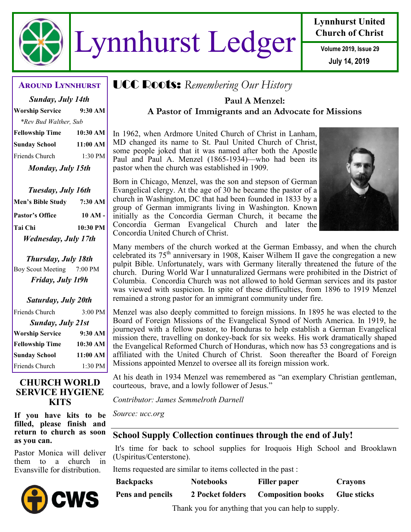

# Lynnhurst Ledger **Volume 2019, Issue 29**

# **Lynnhurst United Church of Christ**

**July 14, 2019**

| Sunday, July 14th      |          |  |  |
|------------------------|----------|--|--|
| <b>Worship Service</b> | 9:30 AM  |  |  |
| *Rev Bud Walther, Sub  |          |  |  |
| <b>Fellowship Time</b> | 10:30 AM |  |  |
| <b>Sunday School</b>   | 11:00 AM |  |  |
| Friends Church         | 1:30 PM  |  |  |
| Monday, July 15th      |          |  |  |

*Tuesday, July 16th* **Men's Bible Study 7:30 AM Pastor's Office 10 AM - Tai Chi 10:30 PM** *Wednesday, July 17th*

*Thursday, July 18th* Boy Scout Meeting 7:00 PM *Friday, July 1t9h*

# *Saturday, July 20th* Friends Church 3:00 PM *Sunday, July 21st* **Worship Service 9:30 AM Fellowship Time 10:30 AM Sunday School 11:00 AM** Friends Church 1:30 PM

#### **CHURCH WORLD SERVICE HYGIENE KITS**

**If you have kits to be filled, please finish and return to church as soon as you can.** 

Pastor Monica will deliver them to a church in Evansville for distribution.



# **Around Lynnhurst** UCC Roots: *Remembering Our History*

# **Paul A Menzel: A Pastor of Immigrants and an Advocate for Missions**

In 1962, when Ardmore United Church of Christ in Lanham, MD changed its name to St. Paul United Church of Christ, some people joked that it was named after both the Apostle Paul and Paul A. Menzel (1865-1934)—who had been its pastor when the church was established in 1909.

Born in Chicago, Menzel, was the son and stepson of German Evangelical clergy. At the age of 30 he became the pastor of a church in Washington, DC that had been founded in 1833 by a group of German immigrants living in Washington. Known initially as the Concordia German Church, it became the Concordia German Evangelical Church and later the Concordia United Church of Christ.



Many members of the church worked at the German Embassy, and when the church celebrated its  $75<sup>th</sup>$  anniversary in 1908, Kaiser Wilhem II gave the congregation a new pulpit Bible. Unfortunately, wars with Germany literally threatened the future of the church. During World War I unnaturalized Germans were prohibited in the District of Columbia. Concordia Church was not allowed to hold German services and its pastor was viewed with suspicion. In spite of these difficulties, from 1896 to 1919 Menzel remained a strong pastor for an immigrant community under fire.

Menzel was also deeply committed to foreign missions. In 1895 he was elected to the Board of Foreign Missions of the Evangelical Synod of North America. In 1919, he journeyed with a fellow pastor, to Honduras to help establish a German Evangelical mission there, travelling on donkey-back for six weeks. His work dramatically shaped the Evangelical Reformed Church of Honduras, which now has 53 congregations and is affiliated with the United Church of Christ. Soon thereafter the Board of Foreign Missions appointed Menzel to oversee all its foreign mission work.

At his death in 1934 Menzel was remembered as "an exemplary Christian gentleman, courteous, brave, and a lowly follower of Jesus."

*Contributor: James Semmelroth Darnell*

*Source: ucc.org*

# **School Supply Collection continues through the end of July!**

It's time for back to school supplies for Iroquois High School and Brooklawn (Uspiritus/Centerstone).

Items requested are similar to items collected in the past :

| <b>Backpacks</b> | <b>Notebooks</b> | Filler paper             | Crayons            |
|------------------|------------------|--------------------------|--------------------|
| Pens and pencils | 2 Pocket folders | <b>Composition books</b> | <b>Glue sticks</b> |

Thank you for anything that you can help to supply.